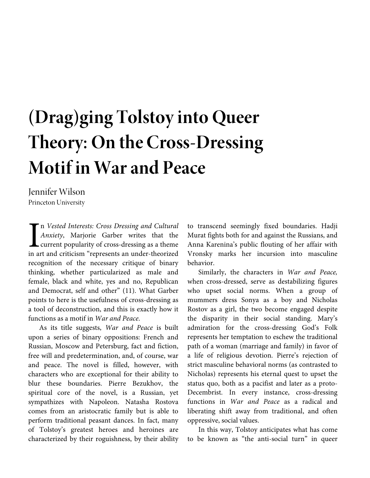# **(Drag)ging Tolstoy into Queer Theory: On the Cross-Dressing Motif in War and Peace**

Jennifer Wilson Princeton University

n *Vested Interests: Cross Dressing and Cultural Anxiety*, Marjorie Garber writes that the current popularity of cross-dressing as a theme in art and criticism "represents an under-theorized recognition of the necessary critique of binary thinking, whether particularized as male and female, black and white, yes and no, Republican and Democrat, self and other" (11). What Garber points to here is the usefulness of cross-dressing as a tool of deconstruction, and this is exactly how it functions as a motif in *War and Peace*.  $\left[\begin{array}{c}\nn \\
An \\
\end{array}\right]$ 

As its title suggests, *War and Peace* is built upon a series of binary oppositions: French and Russian, Moscow and Petersburg, fact and fiction, free will and predetermination, and, of course, war and peace. The novel is filled, however, with characters who are exceptional for their ability to blur these boundaries. Pierre Bezukhov, the spiritual core of the novel, is a Russian, yet sympathizes with Napoleon. Natasha Rostova comes from an aristocratic family but is able to perform traditional peasant dances. In fact, many of Tolstoy's greatest heroes and heroines are characterized by their roguishness, by their ability to transcend seemingly fixed boundaries. Hadji Murat fights both for and against the Russians, and Anna Karenina's public flouting of her affair with Vronsky marks her incursion into masculine behavior.

Similarly, the characters in *War and Peace,* when cross-dressed, serve as destabilizing figures who upset social norms. When a group of mummers dress Sonya as a boy and Nicholas Rostov as a girl, the two become engaged despite the disparity in their social standing. Mary's admiration for the cross-dressing God's Folk represents her temptation to eschew the traditional path of a woman (marriage and family) in favor of a life of religious devotion. Pierre's rejection of strict masculine behavioral norms (as contrasted to Nicholas) represents his eternal quest to upset the status quo, both as a pacifist and later as a proto-Decembrist. In every instance, cross-dressing functions in *War and Peace* as a radical and liberating shift away from traditional, and often oppressive, social values.

In this way, Tolstoy anticipates what has come to be known as "the anti-social turn" in queer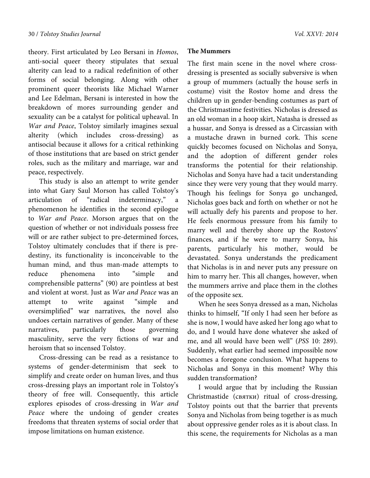theory. First articulated by Leo Bersani in *Homos*, anti-social queer theory stipulates that sexual alterity can lead to a radical redefinition of other forms of social belonging. Along with other prominent queer theorists like Michael Warner and Lee Edelman, Bersani is interested in how the breakdown of mores surrounding gender and sexuality can be a catalyst for political upheaval. In *War and Peace*, Tolstoy similarly imagines sexual alterity (which includes cross-dressing) as antisocial because it allows for a critical rethinking of those institutions that are based on strict gender roles, such as the military and marriage, war and peace, respectively.

This study is also an attempt to write gender into what Gary Saul Morson has called Tolstoy's articulation of "radical indeterminacy," a phenomenon he identifies in the second epilogue to *War and Peace*. Morson argues that on the question of whether or not individuals possess free will or are rather subject to pre-determined forces, Tolstoy ultimately concludes that if there is predestiny, its functionality is inconceivable to the human mind, and thus man-made attempts to reduce phenomena into "simple and comprehensible patterns" (90) are pointless at best and violent at worst. Just as *War and Peace* was an attempt to write against "simple and oversimplified" war narratives, the novel also undoes certain narratives of gender. Many of these narratives, particularly those governing masculinity, serve the very fictions of war and heroism that so incensed Tolstoy.

Cross-dressing can be read as a resistance to systems of gender-determinism that seek to simplify and create order on human lives, and thus cross-dressing plays an important role in Tolstoy's theory of free will. Consequently, this article explores episodes of cross-dressing in *War and Peace* where the undoing of gender creates freedoms that threaten systems of social order that impose limitations on human existence.

### **The Mummers**

The first main scene in the novel where crossdressing is presented as socially subversive is when a group of mummers (actually the house serfs in costume) visit the Rostov home and dress the children up in gender-bending costumes as part of the Christmastime festivities. Nicholas is dressed as an old woman in a hoop skirt, Natasha is dressed as a hussar, and Sonya is dressed as a Circassian with a mustache drawn in burned cork. This scene quickly becomes focused on Nicholas and Sonya, and the adoption of different gender roles transforms the potential for their relationship. Nicholas and Sonya have had a tacit understanding since they were very young that they would marry. Though his feelings for Sonya go unchanged, Nicholas goes back and forth on whether or not he will actually defy his parents and propose to her. He feels enormous pressure from his family to marry well and thereby shore up the Rostovs' finances, and if he were to marry Sonya, his parents, particularly his mother, would be devastated. Sonya understands the predicament that Nicholas is in and never puts any pressure on him to marry her. This all changes, however, when the mummers arrive and place them in the clothes of the opposite sex.

When he sees Sonya dressed as a man, Nicholas thinks to himself, "If only I had seen her before as she is now, I would have asked her long ago what to do, and I would have done whatever she asked of me, and all would have been well" (*PSS* 10: 289). Suddenly, what earlier had seemed impossible now becomes a foregone conclusion. What happens to Nicholas and Sonya in this moment? Why this sudden transformation?

I would argue that by including the Russian Christmastide (святки) ritual of cross-dressing, Tolstoy points out that the barrier that prevents Sonya and Nicholas from being together is as much about oppressive gender roles as it is about class. In this scene, the requirements for Nicholas as a man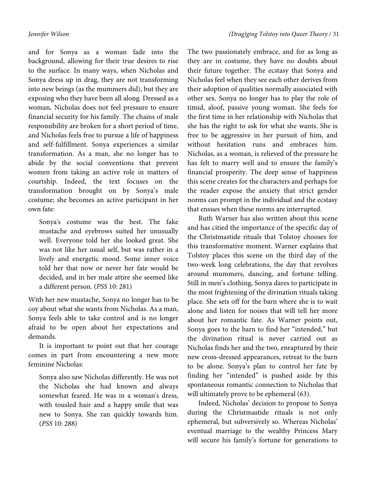and for Sonya as a woman fade into the background, allowing for their true desires to rise to the surface. In many ways, when Nicholas and Sonya dress up in drag, they are not transforming into new beings (as the mummers did), but they are exposing who they have been all along. Dressed as a woman, Nicholas does not feel pressure to ensure financial security for his family. The chains of male responsibility are broken for a short period of time, and Nicholas feels free to pursue a life of happiness and self-fulfillment. Sonya experiences a similar transformation. As a man, she no longer has to abide by the social conventions that prevent women from taking an active role in matters of courtship. Indeed, the text focuses on the transformation brought on by Sonya's male costume; she becomes an active participant in her own fate:

Sonya's costume was the best. The fake mustache and eyebrows suited her unusually well. Everyone told her she looked great. She was not like her usual self, but was rather in a lively and energetic mood. Some inner voice told her that now or never her fate would be decided, and in her male attire she seemed like a different person. (*PSS* 10: 281)

With her new mustache, Sonya no longer has to be coy about what she wants from Nicholas. As a man, Sonya feels able to take control and is no longer afraid to be open about her expectations and demands.

It is important to point out that her courage comes in part from encountering a new more feminine Nicholas:

Sonya also saw Nicholas differently. He was not the Nicholas she had known and always somewhat feared. He was in a woman's dress, with tousled hair and a happy smile that was new to Sonya. She ran quickly towards him. (*PSS* 10: 288)

The two passionately embrace, and for as long as they are in costume, they have no doubts about their future together. The ecstasy that Sonya and Nicholas feel when they see each other derives from their adoption of qualities normally associated with other sex. Sonya no longer has to play the role of timid, aloof, passive young woman. She feels for the first time in her relationship with Nicholas that she has the right to ask for what she wants. She is free to be aggressive in her pursuit of him, and without hesitation runs and embraces him. Nicholas, as a woman, is relieved of the pressure he has felt to marry well and to ensure the family's financial prosperity. The deep sense of happiness this scene creates for the characters and perhaps for the reader expose the anxiety that strict gender norms can prompt in the individual and the ecstasy that ensues when these norms are interrupted.

Ruth Warner has also written about this scene and has citied the importance of the specific day of the Christmastide rituals that Tolstoy chooses for this transformative moment. Warner explains that Tolstoy places this scene on the third day of the two-week long celebrations, the day that revolves around mummers, dancing, and fortune telling. Still in men's clothing, Sonya dares to participate in the most frightening of the divination rituals taking place. She sets off for the barn where she is to wait alone and listen for noises that will tell her more about her romantic fate. As Warner points out, Sonya goes to the barn to find her "intended," but the divination ritual is never carried out as Nicholas finds her and the two, enraptured by their new cross-dressed appearances, retreat to the barn to be alone. Sonya's plan to control her fate by finding her "intended" is pushed aside by this spontaneous romantic connection to Nicholas that will ultimately prove to be ephemeral (63).

Indeed, Nicholas' decision to propose to Sonya during the Christmastide rituals is not only ephemeral, but subversively so. Whereas Nicholas' eventual marriage to the wealthy Princess Mary will secure his family's fortune for generations to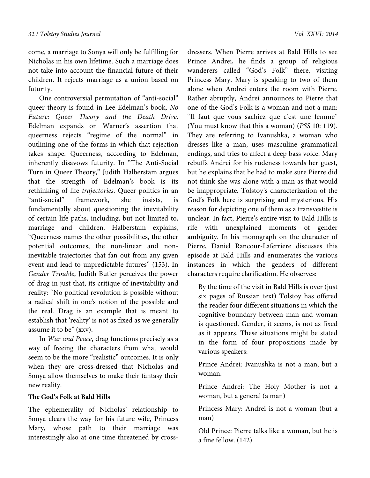come, a marriage to Sonya will only be fulfilling for Nicholas in his own lifetime. Such a marriage does not take into account the financial future of their children. It rejects marriage as a union based on futurity.

One controversial permutation of "anti-social" queer theory is found in Lee Edelman's book, *No Future: Queer Theory and the Death Drive*. Edelman expands on Warner's assertion that queerness rejects "regime of the normal" in outlining one of the forms in which that rejection takes shape. Queerness, according to Edelman, inherently disavows futurity. In "The Anti-Social Turn in Queer Theory," Judith Halberstam argues that the strength of Edelman's book is its rethinking of life *trajectories*. Queer politics in an "anti-social" framework, she insists, is fundamentally about questioning the inevitability of certain life paths, including, but not limited to, marriage and children. Halberstam explains, "Queerness names the other possibilities, the other potential outcomes, the non-linear and noninevitable trajectories that fan out from any given event and lead to unpredictable futures" (153). In *Gender Trouble*, Judith Butler perceives the power of drag in just that, its critique of inevitability and reality: "No political revolution is possible without a radical shift in one's notion of the possible and the real. Drag is an example that is meant to establish that 'reality' is not as fixed as we generally assume it to be" (xxv).

In *War and Peace*, drag functions precisely as a way of freeing the characters from what would seem to be the more "realistic" outcomes. It is only when they are cross-dressed that Nicholas and Sonya allow themselves to make their fantasy their new reality.

#### **The God's Folk at Bald Hills**

The ephemerality of Nicholas' relationship to Sonya clears the way for his future wife, Princess Mary, whose path to their marriage was interestingly also at one time threatened by crossdressers. When Pierre arrives at Bald Hills to see Prince Andrei, he finds a group of religious wanderers called "God's Folk" there, visiting Princess Mary. Mary is speaking to two of them alone when Andrei enters the room with Pierre. Rather abruptly, Andrei announces to Pierre that one of the God's Folk is a woman and not a man: "Il faut que vous sachiez que c'est une femme" (You must know that this a woman) (*PSS* 10: 119). They are referring to Ivanushka, a woman who dresses like a man, uses masculine grammatical endings, and tries to affect a deep bass voice. Mary rebuffs Andrei for his rudeness towards her guest, but he explains that he had to make sure Pierre did not think she was alone with a man as that would be inappropriate. Tolstoy's characterization of the God's Folk here is surprising and mysterious. His reason for depicting one of them as a transvestite is unclear. In fact, Pierre's entire visit to Bald Hills is rife with unexplained moments of gender ambiguity. In his monograph on the character of Pierre, Daniel Rancour-Laferriere discusses this episode at Bald Hills and enumerates the various instances in which the genders of different characters require clarification. He observes:

By the time of the visit in Bald Hills is over (just six pages of Russian text) Tolstoy has offered the reader four different situations in which the cognitive boundary between man and woman is questioned. Gender, it seems, is not as fixed as it appears. These situations might be stated in the form of four propositions made by various speakers:

Prince Andrei: Ivanushka is not a man, but a woman.

Prince Andrei: The Holy Mother is not a woman, but a general (a man)

Princess Mary: Andrei is not a woman (but a man)

Old Prince: Pierre talks like a woman, but he is a fine fellow. (142)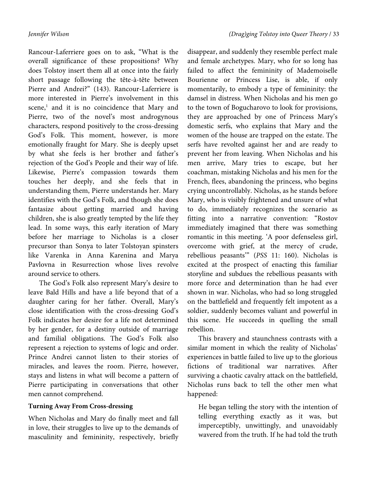Rancour-Laferriere goes on to ask, "What is the overall significance of these propositions? Why does Tolstoy insert them all at once into the fairly short passage following the tête-à-tête between Pierre and Andrei?" (143). Rancour-Laferriere is more interested in Pierre's involvement in this scene,<sup>1</sup> and it is no coincidence that Mary and Pierre, two of the novel's most androgynous characters, respond positively to the cross-dressing God's Folk. This moment, however, is more emotionally fraught for Mary. She is deeply upset by what she feels is her brother and father's rejection of the God's People and their way of life. Likewise, Pierre's compassion towards them touches her deeply, and she feels that in understanding them, Pierre understands her. Mary identifies with the God's Folk, and though she does fantasize about getting married and having children, she is also greatly tempted by the life they lead. In some ways, this early iteration of Mary before her marriage to Nicholas is a closer precursor than Sonya to later Tolstoyan spinsters like Varenka in Anna Karenina and Marya Pavlovna in Resurrection whose lives revolve around service to others.

The God's Folk also represent Mary's desire to leave Bald Hills and have a life beyond that of a daughter caring for her father. Overall, Mary's close identification with the cross-dressing God's Folk indicates her desire for a life not determined by her gender, for a destiny outside of marriage and familial obligations. The God's Folk also represent a rejection to systems of logic and order. Prince Andrei cannot listen to their stories of miracles, and leaves the room. Pierre, however, stays and listens in what will become a pattern of Pierre participating in conversations that other men cannot comprehend.

# **Turning Away From Cross-dressing**

When Nicholas and Mary do finally meet and fall in love, their struggles to live up to the demands of masculinity and femininity, respectively, briefly disappear, and suddenly they resemble perfect male and female archetypes. Mary, who for so long has failed to affect the femininity of Mademoiselle Bourienne or Princess Lise, is able, if only momentarily, to embody a type of femininity: the damsel in distress. When Nicholas and his men go to the town of Bogucharovo to look for provisions, they are approached by one of Princess Mary's domestic serfs, who explains that Mary and the women of the house are trapped on the estate. The serfs have revolted against her and are ready to prevent her from leaving. When Nicholas and his men arrive, Mary tries to escape, but her coachman, mistaking Nicholas and his men for the French, flees, abandoning the princess, who begins crying uncontrollably. Nicholas, as he stands before Mary, who is visibly frightened and unsure of what to do, immediately recognizes the scenario as fitting into a narrative convention: "Rostov immediately imagined that there was something romantic in this meeting. 'A poor defenseless girl, overcome with grief, at the mercy of crude, rebellious peasants'" (*PSS* 11: 160). Nicholas is excited at the prospect of enacting this familiar storyline and subdues the rebellious peasants with more force and determination than he had ever shown in war. Nicholas, who had so long struggled on the battlefield and frequently felt impotent as a soldier, suddenly becomes valiant and powerful in this scene. He succeeds in quelling the small rebellion.

This bravery and staunchness contrasts with a similar moment in which the reality of Nicholas' experiences in battle failed to live up to the glorious fictions of traditional war narratives. After surviving a chaotic cavalry attack on the battlefield, Nicholas runs back to tell the other men what happened:

He began telling the story with the intention of telling everything exactly as it was, but imperceptibly, unwittingly, and unavoidably wavered from the truth. If he had told the truth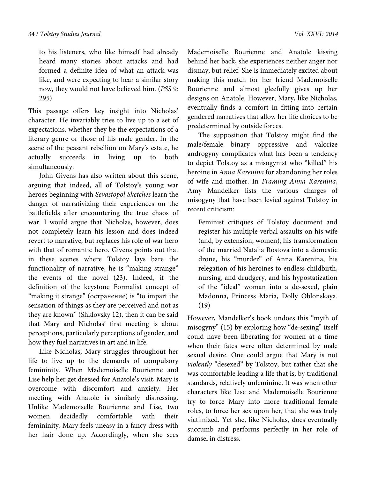to his listeners, who like himself had already heard many stories about attacks and had formed a definite idea of what an attack was like, and were expecting to hear a similar story now, they would not have believed him. (*PSS* 9: 295)

This passage offers key insight into Nicholas' character. He invariably tries to live up to a set of expectations, whether they be the expectations of a literary genre or those of his male gender. In the scene of the peasant rebellion on Mary's estate, he actually succeeds in living up to both simultaneously.

John Givens has also written about this scene, arguing that indeed, all of Tolstoy's young war heroes beginning with *Sevastopol Sketches* learn the danger of narrativizing their experiences on the battlefields after encountering the true chaos of war. I would argue that Nicholas, however, does not completely learn his lesson and does indeed revert to narrative, but replaces his role of war hero with that of romantic hero. Givens points out that in these scenes where Tolstoy lays bare the functionality of narrative, he is "making strange" the events of the novel (23). Indeed, if the definition of the keystone Formalist concept of "making it strange" (остранение) is "to impart the sensation of things as they are perceived and not as they are known" (Shklovsky 12), then it can be said that Mary and Nicholas' first meeting is about perceptions, particularly perceptions of gender, and how they fuel narratives in art and in life.

Like Nicholas, Mary struggles throughout her life to live up to the demands of compulsory femininity. When Mademoiselle Bourienne and Lise help her get dressed for Anatole's visit, Mary is overcome with discomfort and anxiety. Her meeting with Anatole is similarly distressing. Unlike Mademoiselle Bourienne and Lise, two women decidedly comfortable with their femininity, Mary feels uneasy in a fancy dress with her hair done up. Accordingly, when she sees

behind her back, she experiences neither anger nor dismay, but relief. She is immediately excited about making this match for her friend Mademoiselle Bourienne and almost gleefully gives up her designs on Anatole. However, Mary, like Nicholas, eventually finds a comfort in fitting into certain gendered narratives that allow her life choices to be predetermined by outside forces.

The supposition that Tolstoy might find the male/female binary oppressive and valorize androgyny complicates what has been a tendency to depict Tolstoy as a misogynist who "killed" his heroine in *Anna Karenina* for abandoning her roles of wife and mother. In *Framing Anna Karenina*, Amy Mandelker lists the various charges of misogyny that have been levied against Tolstoy in recent criticism:

Feminist critiques of Tolstoy document and register his multiple verbal assaults on his wife (and, by extension, women), his transformation of the married Natalia Rostova into a domestic drone, his "murder" of Anna Karenina, his relegation of his heroines to endless childbirth, nursing, and drudgery, and his hypostatization of the "ideal" woman into a de-sexed, plain Madonna, Princess Maria, Dolly Oblonskaya. (19)

However, Mandelker's book undoes this "myth of misogyny" (15) by exploring how "de-sexing" itself could have been liberating for women at a time when their fates were often determined by male sexual desire. One could argue that Mary is not *violently* "desexed" by Tolstoy, but rather that she was comfortable leading a life that is, by traditional standards, relatively unfeminine. It was when other characters like Lise and Mademoiselle Bourienne try to force Mary into more traditional female roles, to force her sex upon her, that she was truly victimized. Yet she, like Nicholas, does eventually succumb and performs perfectly in her role of damsel in distress.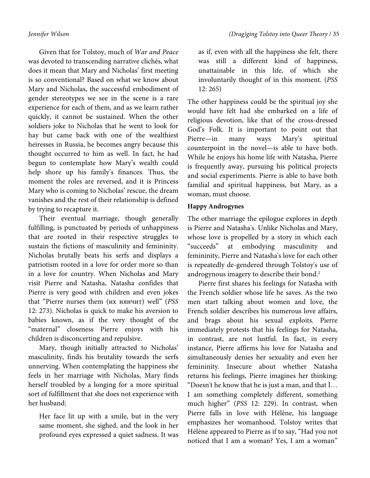Given that for Tolstoy, much of *War and Peace* was devoted to transcending narrative clichés, what does it mean that Mary and Nicholas' first meeting is so conventional? Based on what we know about Mary and Nicholas, the successful embodiment of gender stereotypes we see in the scene is a rare experience for each of them, and as we learn rather quickly, it cannot be sustained. When the other soldiers joke to Nicholas that he went to look for hay but came back with one of the wealthiest heiresses in Russia, he becomes angry because this thought occurred to him as well. In fact, he had begun to contemplate how Mary's wealth could help shore up his family's finances. Thus, the moment the roles are reversed, and it is Princess Mary who is coming to Nicholas' rescue, the dream vanishes and the rest of their relationship is defined by trying to recapture it.

Their eventual marriage, though generally fulfilling, is punctuated by periods of unhappiness that are rooted in their respective struggles to sustain the fictions of masculinity and femininity. Nicholas brutally beats his serfs and displays a patriotism rooted in a love for order more so than in a love for country. When Nicholas and Mary visit Pierre and Natasha, Natasha confides that Pierre is very good with children and even jokes that "Pierre nurses them (их нянчит) well" (*PSS*  12: 273). Nicholas is quick to make his aversion to babies known, as if the very thought of the "maternal" closeness Pierre enjoys with his children is disconcerting and repulsive.

Mary, though initially attracted to Nicholas' masculinity, finds his brutality towards the serfs unnerving. When contemplating the happiness she feels in her marriage with Nicholas, Mary finds herself troubled by a longing for a more spiritual sort of fulfillment that she does not experience with her husband:

Her face lit up with a smile, but in the very same moment, she sighed, and the look in her profound eyes expressed a quiet sadness. It was

as if, even with all the happiness she felt, there was still a different kind of happiness, unattainable in this life, of which she involuntarily thought of in this moment. (*PSS*  12: 265)

The other happiness could be the spiritual joy she would have felt had she embarked on a life of religious devotion, like that of the cross-dressed God's Folk. It is important to point out that Pierre—in many ways Mary's spiritual counterpoint in the novel—is able to have both. While he enjoys his home life with Natasha, Pierre is frequently away, pursuing his political projects and social experiments. Pierre is able to have both familial and spiritual happiness, but Mary, as a woman, must choose.

# **Happy Androgynes**

The other marriage the epilogue explores in depth is Pierre and Natasha's. Unlike Nicholas and Mary, whose love is propelled by a story in which each "succeeds" at embodying masculinity and femininity, Pierre and Natasha's love for each other is repeatedly de-gendered through Tolstoy's use of androgynous imagery to describe their bond.<sup>2</sup>

Pierre first shares his feelings for Natasha with the French soldier whose life he saves. As the two men start talking about women and love, the French soldier describes his numerous love affairs, and brags about his sexual exploits. Pierre immediately protests that his feelings for Natasha, in contrast, are not lustful. In fact, in every instance, Pierre affirms his love for Natasha and simultaneously denies her sexuality and even her femininity. Insecure about whether Natasha returns his feelings, Pierre imagines her thinking: "Doesn't he know that he is just a man, and that I… I am something completely different, something much higher" (*PSS* 12: 229). In contrast, when Pierre falls in love with Hélène, his language emphasizes her womanhood. Tolstoy writes that Hélène appeared to Pierre as if to say, "Had you not noticed that I am a woman? Yes, I am a woman"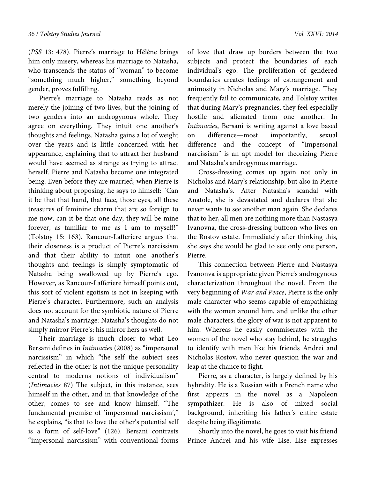(*PSS* 13: 478). Pierre's marriage to Hélène brings him only misery, whereas his marriage to Natasha, who transcends the status of "woman" to become "something much higher," something beyond gender, proves fulfilling.

Pierre's marriage to Natasha reads as not merely the joining of two lives, but the joining of two genders into an androgynous whole. They agree on everything. They intuit one another's thoughts and feelings. Natasha gains a lot of weight over the years and is little concerned with her appearance, explaining that to attract her husband would have seemed as strange as trying to attract herself. Pierre and Natasha become one integrated being. Even before they are married, when Pierre is thinking about proposing, he says to himself: "Can it be that that hand, that face, those eyes, all these treasures of feminine charm that are so foreign to me now, can it be that one day, they will be mine forever, as familiar to me as I am to myself!" (Tolstoy 15: 163). Rancour-Lafferiere argues that their closeness is a product of Pierre's narcissism and that their ability to intuit one another's thoughts and feelings is simply symptomatic of Natasha being swallowed up by Pierre's ego. However, as Rancour-Lafferiere himself points out, this sort of violent egotism is not in keeping with Pierre's character. Furthermore, such an analysis does not account for the symbiotic nature of Pierre and Natasha's marriage: Natasha's thoughts do not simply mirror Pierre's; his mirror hers as well.

Their marriage is much closer to what Leo Bersani defines in *Intimacies* (2008) as "impersonal narcissism" in which "the self the subject sees reflected in the other is not the unique personality central to moderns notions of individualism" (*Intimacies* 87) The subject, in this instance, sees himself in the other, and in that knowledge of the other, comes to see and know himself. "The fundamental premise of 'impersonal narcissism'," he explains, "is that to love the other's potential self is a form of self-love" (126). Bersani contrasts "impersonal narcissism" with conventional forms

of love that draw up borders between the two subjects and protect the boundaries of each individual's ego. The proliferation of gendered boundaries creates feelings of estrangement and animosity in Nicholas and Mary's marriage. They frequently fail to communicate, and Tolstoy writes that during Mary's pregnancies, they feel especially hostile and alienated from one another. In *Intimacies*, Bersani is writing against a love based on difference—most importantly, sexual difference—and the concept of "impersonal narcissism" is an apt model for theorizing Pierre and Natasha's androgynous marriage.

Cross-dressing comes up again not only in Nicholas and Mary's relationship, but also in Pierre and Natasha's. After Natasha's scandal with Anatole, she is devastated and declares that she never wants to see another man again. She declares that to her, all men are nothing more than Nastasya Ivanovna, the cross-dressing buffoon who lives on the Rostov estate. Immediately after thinking this, she says she would be glad to see only one person, Pierre.

This connection between Pierre and Nastasya Ivanonva is appropriate given Pierre's androgynous characterization throughout the novel. From the very beginning of *War and Peace*, Pierre is the only male character who seems capable of empathizing with the women around him, and unlike the other male characters, the glory of war is not apparent to him. Whereas he easily commiserates with the women of the novel who stay behind, he struggles to identify with men like his friends Andrei and Nicholas Rostov, who never question the war and leap at the chance to fight.

Pierre, as a character, is largely defined by his hybridity. He is a Russian with a French name who first appears in the novel as a Napoleon sympathizer. He is also of mixed social background, inheriting his father's entire estate despite being illegitimate.

Shortly into the novel, he goes to visit his friend Prince Andrei and his wife Lise. Lise expresses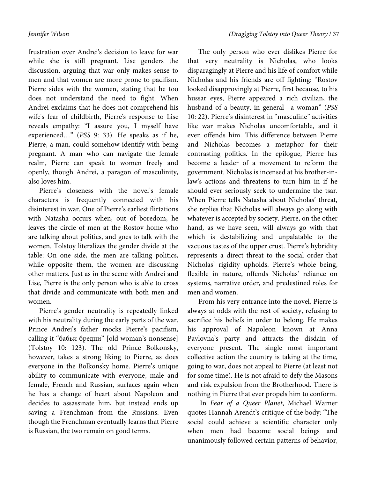frustration over Andrei's decision to leave for war while she is still pregnant. Lise genders the discussion, arguing that war only makes sense to men and that women are more prone to pacifism. Pierre sides with the women, stating that he too does not understand the need to fight. When Andrei exclaims that he does not comprehend his wife's fear of childbirth, Pierre's response to Lise reveals empathy: "I assure you, I myself have experienced…" (*PSS* 9: 33). He speaks as if he, Pierre, a man, could somehow identify with being pregnant. A man who can navigate the female realm, Pierre can speak to women freely and openly, though Andrei, a paragon of masculinity, also loves him.

Pierre's closeness with the novel's female characters is frequently connected with his disinterest in war. One of Pierre's earliest flirtations with Natasha occurs when, out of boredom, he leaves the circle of men at the Rostov home who are talking about politics, and goes to talk with the women. Tolstoy literalizes the gender divide at the table: On one side, the men are talking politics, while opposite them, the women are discussing other matters. Just as in the scene with Andrei and Lise, Pierre is the only person who is able to cross that divide and communicate with both men and women.

Pierre's gender neutrality is repeatedly linked with his neutrality during the early parts of the war. Prince Andrei's father mocks Pierre's pacifism, calling it "бабьи бредни" [old woman's nonsense] (Tolstoy 10: 123). The old Prince Bolkonsky, however, takes a strong liking to Pierre, as does everyone in the Bolkonsky home. Pierre's unique ability to communicate with everyone, male and female, French and Russian, surfaces again when he has a change of heart about Napoleon and decides to assassinate him, but instead ends up saving a Frenchman from the Russians. Even though the Frenchman eventually learns that Pierre is Russian, the two remain on good terms.

The only person who ever dislikes Pierre for that very neutrality is Nicholas, who looks disparagingly at Pierre and his life of comfort while Nicholas and his friends are off fighting: "Rostov looked disapprovingly at Pierre, first because, to his hussar eyes, Pierre appeared a rich civilian, the husband of a beauty, in general—a woman" (*PSS*  10: 22). Pierre's disinterest in "masculine" activities like war makes Nicholas uncomfortable, and it even offends him. This difference between Pierre and Nicholas becomes a metaphor for their contrasting politics. In the epilogue, Pierre has become a leader of a movement to reform the government. Nicholas is incensed at his brother-inlaw's actions and threatens to turn him in if he should ever seriously seek to undermine the tsar. When Pierre tells Natasha about Nicholas' threat, she replies that Nicholas will always go along with whatever is accepted by society. Pierre, on the other hand, as we have seen, will always go with that which is destabilizing and unpalatable to the vacuous tastes of the upper crust. Pierre's hybridity represents a direct threat to the social order that Nicholas' rigidity upholds. Pierre's whole being, flexible in nature, offends Nicholas' reliance on systems, narrative order, and predestined roles for men and women.

From his very entrance into the novel, Pierre is always at odds with the rest of society, refusing to sacrifice his beliefs in order to belong. He makes his approval of Napoleon known at Anna Pavlovna's party and attracts the disdain of everyone present. The single most important collective action the country is taking at the time, going to war, does not appeal to Pierre (at least not for some time). He is not afraid to defy the Masons and risk expulsion from the Brotherhood. There is nothing in Pierre that ever propels him to conform.

 In *Fear of a Queer Planet*, Michael Warner quotes Hannah Arendt's critique of the body: "The social could achieve a scientific character only when men had become social beings and unanimously followed certain patterns of behavior,